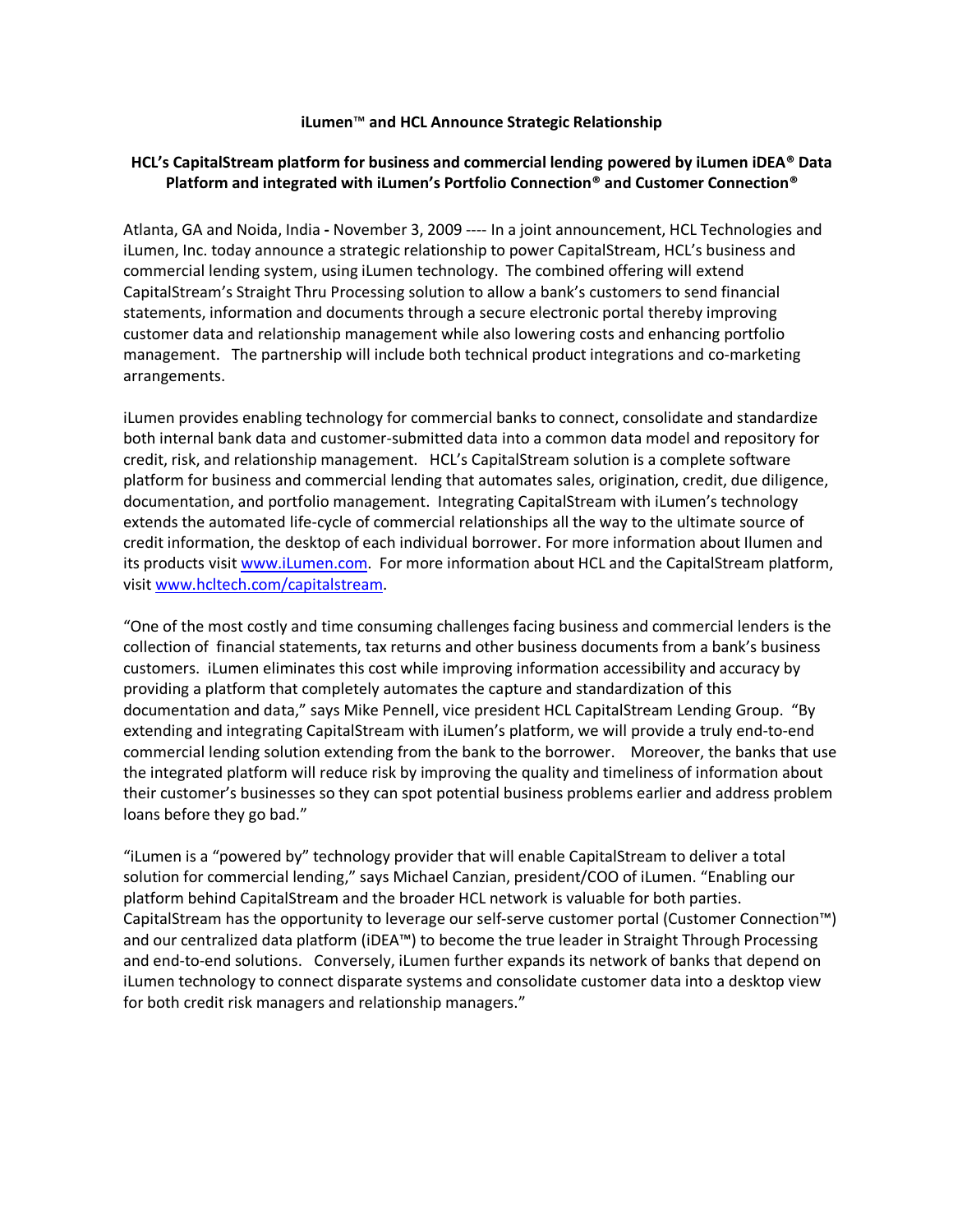## **iLumen**™ **and HCL Announce Strategic Relationship**

# **HCL's CapitalStream platform for business and commercial lending powered by iLumen iDEA® Data Platform and integrated with iLumen's Portfolio Connection® and Customer Connection®**

Atlanta, GA and Noida, India **-** November 3, 2009 ---- In a joint announcement, HCL Technologies and iLumen, Inc. today announce a strategic relationship to power CapitalStream, HCL's business and commercial lending system, using iLumen technology. The combined offering will extend CapitalStream's Straight Thru Processing solution to allow a bank's customers to send financial statements, information and documents through a secure electronic portal thereby improving customer data and relationship management while also lowering costs and enhancing portfolio management. The partnership will include both technical product integrations and co-marketing arrangements.

iLumen provides enabling technology for commercial banks to connect, consolidate and standardize both internal bank data and customer-submitted data into a common data model and repository for credit, risk, and relationship management. HCL's CapitalStream solution is a complete software platform for business and commercial lending that automates sales, origination, credit, due diligence, documentation, and portfolio management. Integrating CapitalStream with iLumen's technology extends the automated life-cycle of commercial relationships all the way to the ultimate source of credit information, the desktop of each individual borrower. For more information about Ilumen and its products visit [www.iLumen.com.](http://www.ilumen.com/) For more information about HCL and the CapitalStream platform, visi[t www.hcltech.com/capitalstream.](http://www.hcltech.com/capitalstream)

"One of the most costly and time consuming challenges facing business and commercial lenders is the collection of financial statements, tax returns and other business documents from a bank's business customers. iLumen eliminates this cost while improving information accessibility and accuracy by providing a platform that completely automates the capture and standardization of this documentation and data," says Mike Pennell, vice president HCL CapitalStream Lending Group. "By extending and integrating CapitalStream with iLumen's platform, we will provide a truly end-to-end commercial lending solution extending from the bank to the borrower. Moreover, the banks that use the integrated platform will reduce risk by improving the quality and timeliness of information about their customer's businesses so they can spot potential business problems earlier and address problem loans before they go bad."

"iLumen is a "powered by" technology provider that will enable CapitalStream to deliver a total solution for commercial lending," says Michael Canzian, president/COO of iLumen. "Enabling our platform behind CapitalStream and the broader HCL network is valuable for both parties. CapitalStream has the opportunity to leverage our self-serve customer portal (Customer Connection™) and our centralized data platform (iDEA™) to become the true leader in Straight Through Processing and end-to-end solutions. Conversely, iLumen further expands its network of banks that depend on iLumen technology to connect disparate systems and consolidate customer data into a desktop view for both credit risk managers and relationship managers."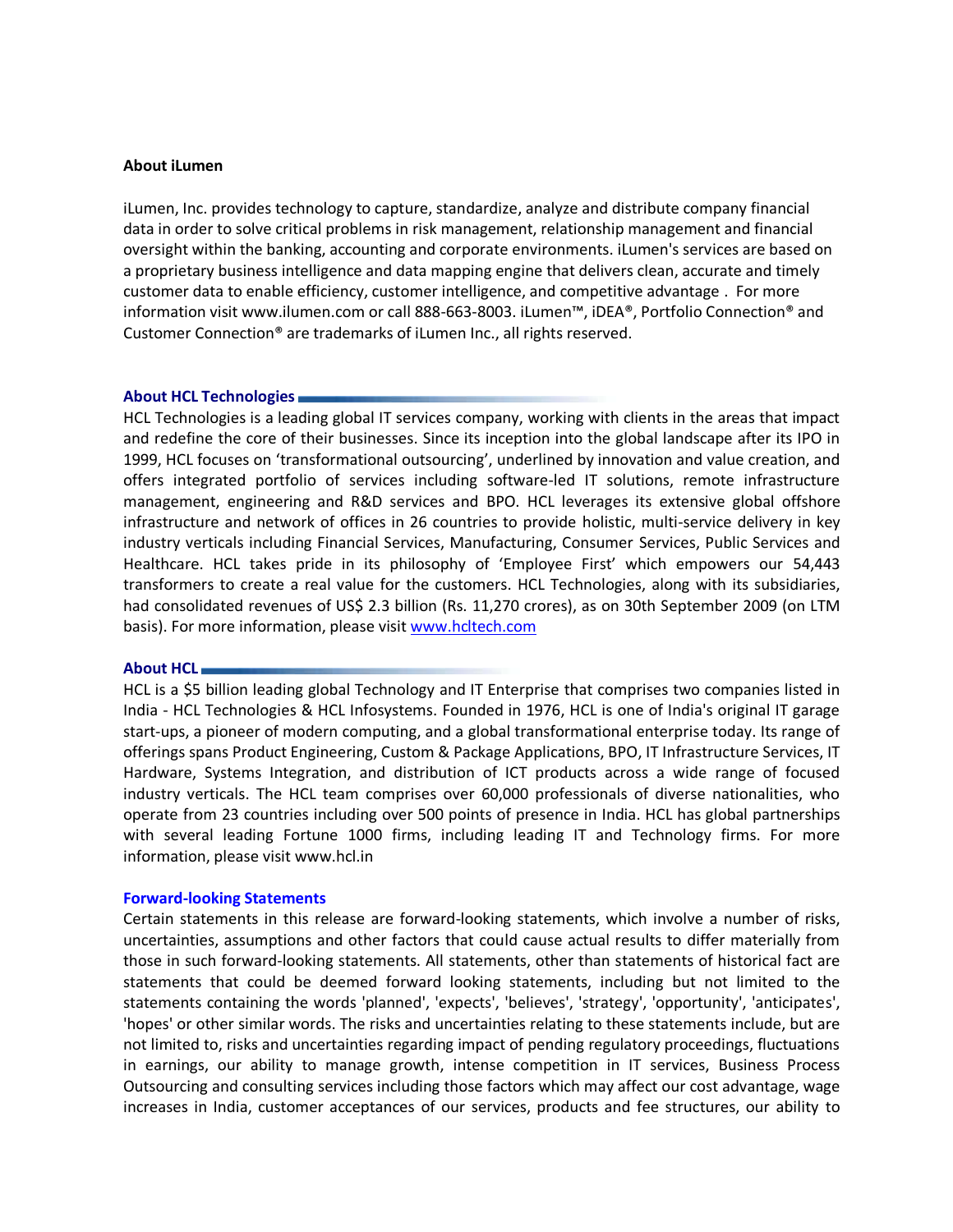### **About iLumen**

iLumen, Inc. provides technology to capture, standardize, analyze and distribute company financial data in order to solve critical problems in risk management, relationship management and financial oversight within the banking, accounting and corporate environments. iLumen's services are based on a proprietary business intelligence and data mapping engine that delivers clean, accurate and timely customer data to enable efficiency, customer intelligence, and competitive advantage . For more information visit www.ilumen.com or call 888-663-8003. iLumen™, iDEA®, Portfolio Connection® and Customer Connection® are trademarks of iLumen Inc., all rights reserved.

#### **About HCL Technologies**

HCL Technologies is a leading global IT services company, working with clients in the areas that impact and redefine the core of their businesses. Since its inception into the global landscape after its IPO in 1999, HCL focuses on 'transformational outsourcing', underlined by innovation and value creation, and offers integrated portfolio of services including software-led IT solutions, remote infrastructure management, engineering and R&D services and BPO. HCL leverages its extensive global offshore infrastructure and network of offices in 26 countries to provide holistic, multi-service delivery in key industry verticals including Financial Services, Manufacturing, Consumer Services, Public Services and Healthcare. HCL takes pride in its philosophy of 'Employee First' which empowers our 54,443 transformers to create a real value for the customers. HCL Technologies, along with its subsidiaries, had consolidated revenues of US\$ 2.3 billion (Rs. 11,270 crores), as on 30th September 2009 (on LTM basis). For more information, please visi[t www.hcltech.com](http://www.hcltech.com/)

#### **About HCL**

HCL is a \$5 billion leading global Technology and IT Enterprise that comprises two companies listed in India - HCL Technologies & HCL Infosystems. Founded in 1976, HCL is one of India's original IT garage start-ups, a pioneer of modern computing, and a global transformational enterprise today. Its range of offerings spans Product Engineering, Custom & Package Applications, BPO, IT Infrastructure Services, IT Hardware, Systems Integration, and distribution of ICT products across a wide range of focused industry verticals. The HCL team comprises over 60,000 professionals of diverse nationalities, who operate from 23 countries including over 500 points of presence in India. HCL has global partnerships with several leading Fortune 1000 firms, including leading IT and Technology firms. For more information, please visit [www.hcl.in](http://www.hcl.in/)

#### **Forward-looking Statements**

Certain statements in this release are forward-looking statements, which involve a number of risks, uncertainties, assumptions and other factors that could cause actual results to differ materially from those in such forward-looking statements. All statements, other than statements of historical fact are statements that could be deemed forward looking statements, including but not limited to the statements containing the words 'planned', 'expects', 'believes', 'strategy', 'opportunity', 'anticipates', 'hopes' or other similar words. The risks and uncertainties relating to these statements include, but are not limited to, risks and uncertainties regarding impact of pending regulatory proceedings, fluctuations in earnings, our ability to manage growth, intense competition in IT services, Business Process Outsourcing and consulting services including those factors which may affect our cost advantage, wage increases in India, customer acceptances of our services, products and fee structures, our ability to